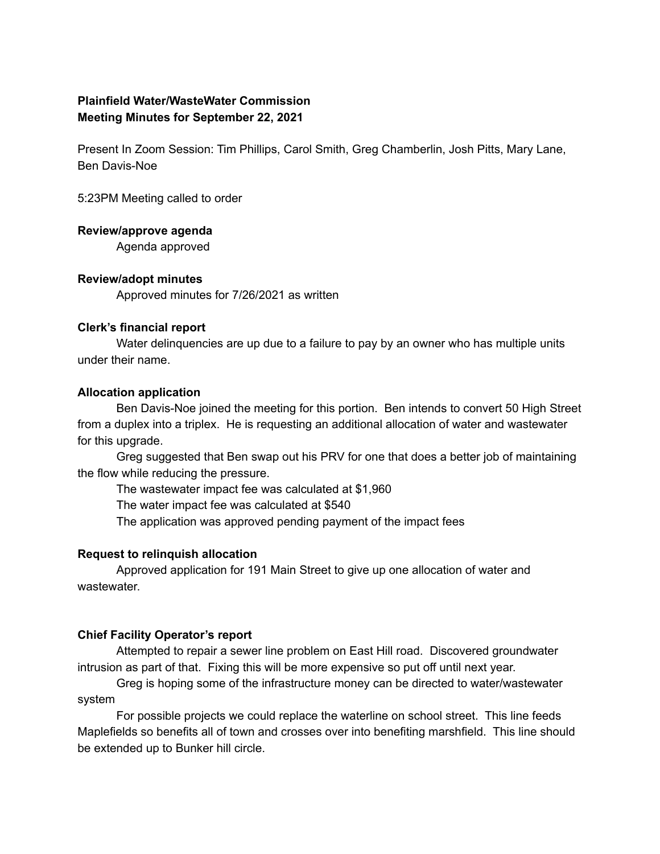# **Plainfield Water/WasteWater Commission Meeting Minutes for September 22, 2021**

Present In Zoom Session: Tim Phillips, Carol Smith, Greg Chamberlin, Josh Pitts, Mary Lane, Ben Davis-Noe

5:23PM Meeting called to order

#### **Review/approve agenda**

Agenda approved

## **Review/adopt minutes**

Approved minutes for 7/26/2021 as written

## **Clerk's financial report**

Water delinquencies are up due to a failure to pay by an owner who has multiple units under their name.

#### **Allocation application**

Ben Davis-Noe joined the meeting for this portion. Ben intends to convert 50 High Street from a duplex into a triplex. He is requesting an additional allocation of water and wastewater for this upgrade.

Greg suggested that Ben swap out his PRV for one that does a better job of maintaining the flow while reducing the pressure.

The wastewater impact fee was calculated at \$1,960

The water impact fee was calculated at \$540

The application was approved pending payment of the impact fees

## **Request to relinquish allocation**

Approved application for 191 Main Street to give up one allocation of water and wastewater.

## **Chief Facility Operator's report**

Attempted to repair a sewer line problem on East Hill road. Discovered groundwater intrusion as part of that. Fixing this will be more expensive so put off until next year.

Greg is hoping some of the infrastructure money can be directed to water/wastewater system

For possible projects we could replace the waterline on school street. This line feeds Maplefields so benefits all of town and crosses over into benefiting marshfield. This line should be extended up to Bunker hill circle.